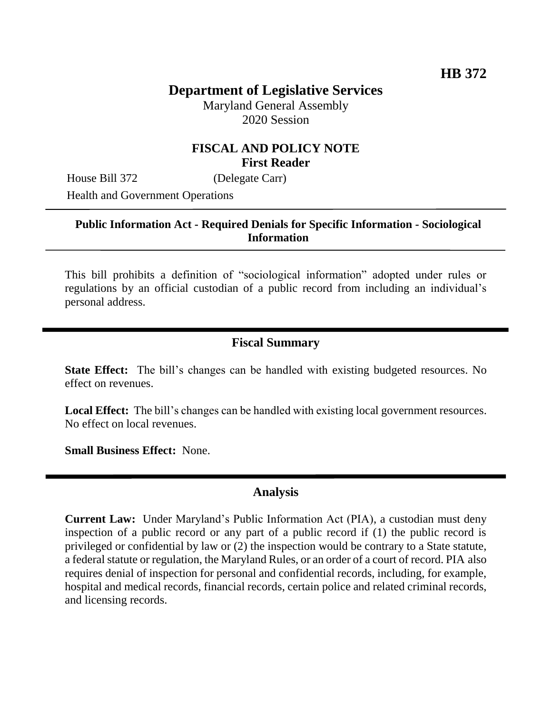# **Department of Legislative Services**

Maryland General Assembly 2020 Session

#### **FISCAL AND POLICY NOTE First Reader**

House Bill 372 (Delegate Carr)

Health and Government Operations

## **Public Information Act - Required Denials for Specific Information - Sociological Information**

This bill prohibits a definition of "sociological information" adopted under rules or regulations by an official custodian of a public record from including an individual's personal address.

#### **Fiscal Summary**

**State Effect:** The bill's changes can be handled with existing budgeted resources. No effect on revenues.

**Local Effect:** The bill's changes can be handled with existing local government resources. No effect on local revenues.

**Small Business Effect:** None.

## **Analysis**

**Current Law:** Under Maryland's Public Information Act (PIA), a custodian must deny inspection of a public record or any part of a public record if (1) the public record is privileged or confidential by law or (2) the inspection would be contrary to a State statute, a federal statute or regulation, the Maryland Rules, or an order of a court of record. PIA also requires denial of inspection for personal and confidential records, including, for example, hospital and medical records, financial records, certain police and related criminal records, and licensing records.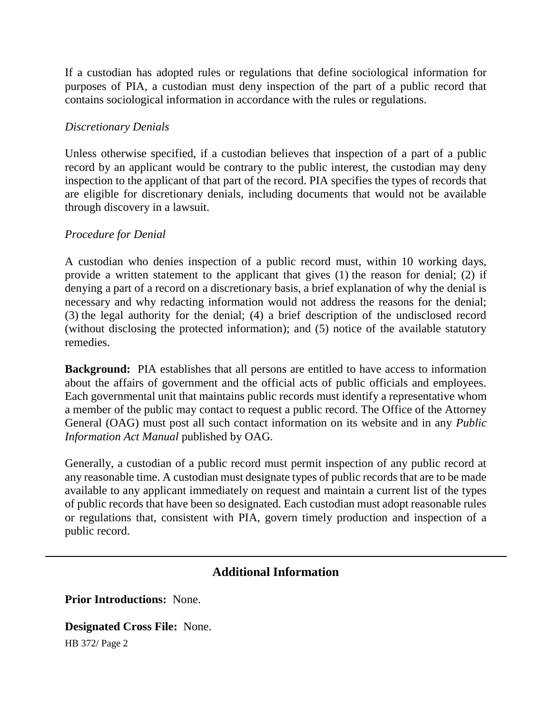If a custodian has adopted rules or regulations that define sociological information for purposes of PIA, a custodian must deny inspection of the part of a public record that contains sociological information in accordance with the rules or regulations.

#### *Discretionary Denials*

Unless otherwise specified, if a custodian believes that inspection of a part of a public record by an applicant would be contrary to the public interest, the custodian may deny inspection to the applicant of that part of the record. PIA specifies the types of records that are eligible for discretionary denials, including documents that would not be available through discovery in a lawsuit.

#### *Procedure for Denial*

A custodian who denies inspection of a public record must, within 10 working days, provide a written statement to the applicant that gives (1) the reason for denial; (2) if denying a part of a record on a discretionary basis, a brief explanation of why the denial is necessary and why redacting information would not address the reasons for the denial; (3) the legal authority for the denial; (4) a brief description of the undisclosed record (without disclosing the protected information); and (5) notice of the available statutory remedies.

**Background:** PIA establishes that all persons are entitled to have access to information about the affairs of government and the official acts of public officials and employees. Each governmental unit that maintains public records must identify a representative whom a member of the public may contact to request a public record. The Office of the Attorney General (OAG) must post all such contact information on its website and in any *Public Information Act Manual* published by OAG.

Generally, a custodian of a public record must permit inspection of any public record at any reasonable time. A custodian must designate types of public records that are to be made available to any applicant immediately on request and maintain a current list of the types of public records that have been so designated. Each custodian must adopt reasonable rules or regulations that, consistent with PIA, govern timely production and inspection of a public record.

## **Additional Information**

**Prior Introductions:** None.

**Designated Cross File:** None.

HB 372/ Page 2